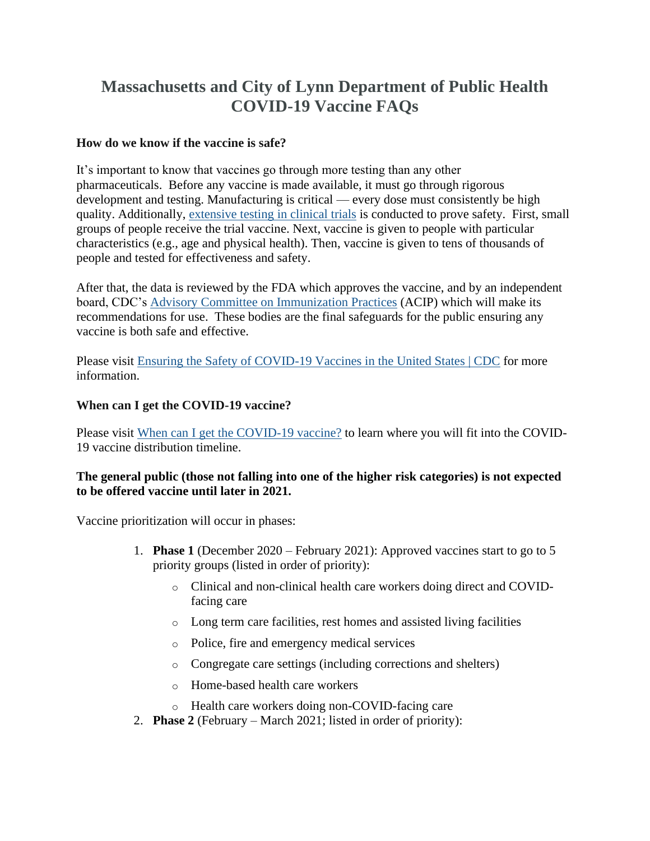# **Massachusetts and City of Lynn Department of Public Health COVID-19 Vaccine FAQs**

#### **How do we know if the vaccine is safe?**

It's important to know that vaccines go through more testing than any other pharmaceuticals. Before any vaccine is made available, it must go through rigorous development and testing. Manufacturing is critical — every dose must consistently be high quality. Additionally, [extensive testing in clinical trials](https://www.fda.gov/files/vaccines,%20blood%20&%20biologics/published/Ensuring-the-Safety-of-Vaccines-in-the-United-States.pdf) is conducted to prove safety. First, small groups of people receive the trial vaccine. Next, vaccine is given to people with particular characteristics (e.g., age and physical health). Then, vaccine is given to tens of thousands of people and tested for effectiveness and safety.

After that, the data is reviewed by the FDA which approves the vaccine, and by an independent board, CDC's [Advisory Committee on Immunization Practices](https://www.cdc.gov/vaccines/acip/index.html) (ACIP) which will make its recommendations for use. These bodies are the final safeguards for the public ensuring any vaccine is both safe and effective.

Please visit [Ensuring the Safety of COVID-19 Vaccines in the United States | CDC](https://www.cdc.gov/coronavirus/2019-ncov/vaccines/safety.html) for more information.

#### **When can I get the COVID-19 vaccine?**

Please visit [When can I get the COVID-19 vaccine?](https://www.mass.gov/info-details/when-can-i-get-the-covid-19-vaccine) to learn where you will fit into the COVID-19 vaccine distribution timeline.

#### **The general public (those not falling into one of the higher risk categories) is not expected to be offered vaccine until later in 2021.**

Vaccine prioritization will occur in phases:

- 1. **Phase 1** (December 2020 February 2021): Approved vaccines start to go to 5 priority groups (listed in order of priority):
	- o Clinical and non-clinical health care workers doing direct and COVIDfacing care
	- o Long term care facilities, rest homes and assisted living facilities
	- o Police, fire and emergency medical services
	- o Congregate care settings (including corrections and shelters)
	- o Home-based health care workers
	- o Health care workers doing non-COVID-facing care
- 2. **Phase 2** (February March 2021; listed in order of priority):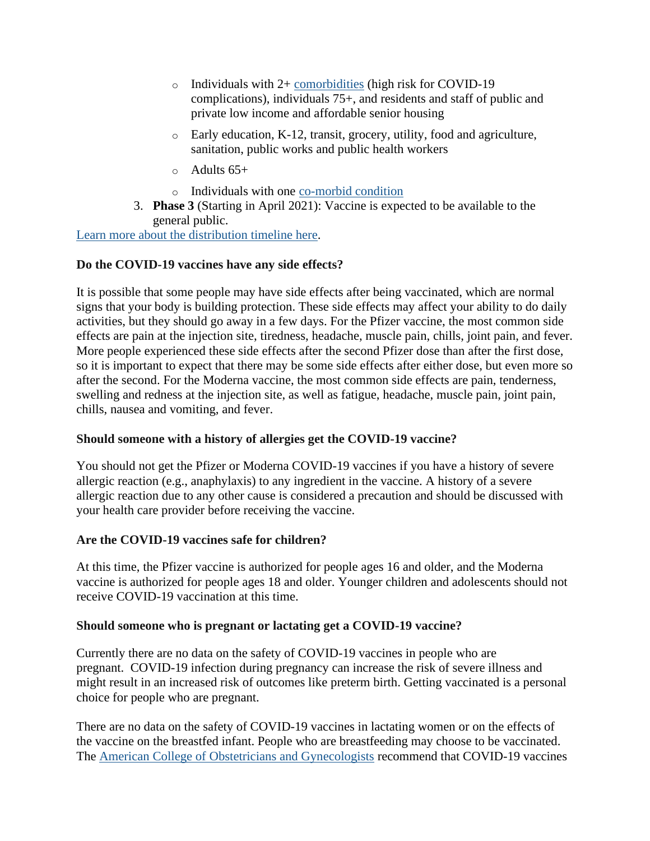- o Individuals with 2+ [comorbidities](https://www.cdc.gov/coronavirus/2019-ncov/need-extra-precautions/people-with-medical-conditions.html) (high risk for COVID-19 complications), individuals 75+, and residents and staff of public and private low income and affordable senior housing
- o Early education, K-12, transit, grocery, utility, food and agriculture, sanitation, public works and public health workers
- $\circ$  Adults 65+
- o Individuals with one [co-morbid](https://www.cdc.gov/coronavirus/2019-ncov/need-extra-precautions/people-with-medical-conditions.html) condition
- 3. **Phase 3** (Starting in April 2021): Vaccine is expected to be available to the general public.

[Learn more about the distribution timeline here.](https://www.mass.gov/info-details/covid-19-vaccine-distribution-timeline-phase-overview)

## **Do the COVID-19 vaccines have any side effects?**

It is possible that some people may have side effects after being vaccinated, which are normal signs that your body is building protection. These side effects may affect your ability to do daily activities, but they should go away in a few days. For the Pfizer vaccine, the most common side effects are pain at the injection site, tiredness, headache, muscle pain, chills, joint pain, and fever. More people experienced these side effects after the second Pfizer dose than after the first dose, so it is important to expect that there may be some side effects after either dose, but even more so after the second. For the Moderna vaccine, the most common side effects are pain, tenderness, swelling and redness at the injection site, as well as fatigue, headache, muscle pain, joint pain, chills, nausea and vomiting, and fever.

## **Should someone with a history of allergies get the COVID-19 vaccine?**

You should not get the Pfizer or Moderna COVID-19 vaccines if you have a history of severe allergic reaction (e.g., anaphylaxis) to any ingredient in the vaccine. A history of a severe allergic reaction due to any other cause is considered a precaution and should be discussed with your health care provider before receiving the vaccine.

## **Are the COVID-19 vaccines safe for children?**

At this time, the Pfizer vaccine is authorized for people ages 16 and older, and the Moderna vaccine is authorized for people ages 18 and older. Younger children and adolescents should not receive COVID-19 vaccination at this time.

#### **Should someone who is pregnant or lactating get a COVID-19 vaccine?**

Currently there are no data on the safety of COVID-19 vaccines in people who are pregnant. COVID-19 infection during pregnancy can increase the risk of severe illness and might result in an increased risk of outcomes like preterm birth. Getting vaccinated is a personal choice for people who are pregnant.

There are no data on the safety of COVID-19 vaccines in lactating women or on the effects of the vaccine on the breastfed infant. People who are breastfeeding may choose to be vaccinated. The [American College of Obstetricians and Gynecologists](https://www.acog.org/en/clinical/clinical-guidance/practice-advisory/articles/2020/12/vaccinating-Pregnant-and-Lactating-Patients-Against-COVID-19) recommend that COVID-19 vaccines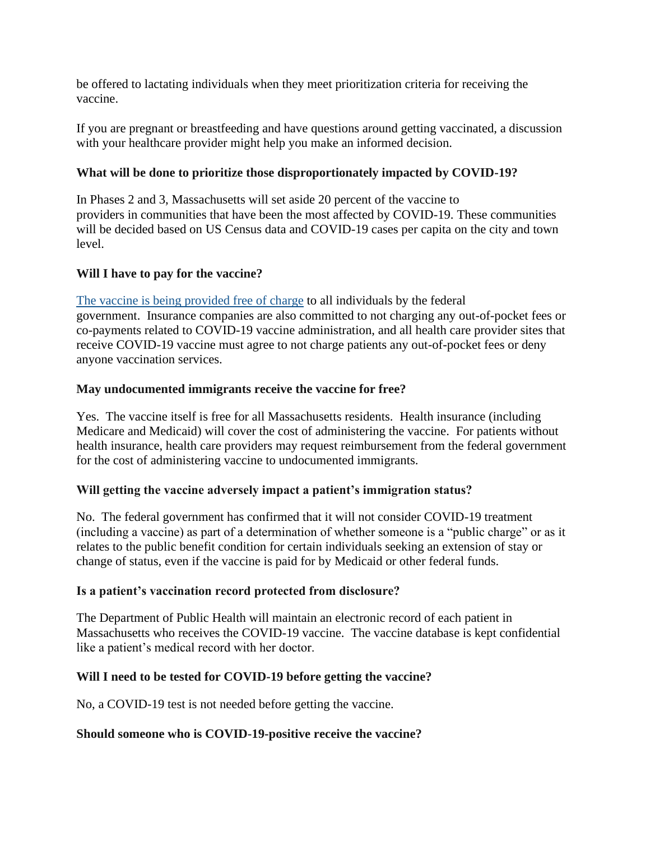be offered to lactating individuals when they meet prioritization criteria for receiving the vaccine.

If you are pregnant or breastfeeding and have questions around getting vaccinated, a discussion with your healthcare provider might help you make an informed decision.

# **What will be done to prioritize those disproportionately impacted by COVID-19?**

In Phases 2 and 3, Massachusetts will set aside 20 percent of the vaccine to providers in communities that have been the most affected by COVID-19. These communities will be decided based on US Census data and COVID-19 cases per capita on the city and town level.

## **Will I have to pay for the vaccine?**

[The vaccine is being provided free of charge](https://www.cdc.gov/coronavirus/2019-ncov/vaccines/faq.html#planning) to all individuals by the federal government. Insurance companies are also committed to not charging any out-of-pocket fees or co-payments related to COVID-19 vaccine administration, and all health care provider sites that receive COVID-19 vaccine must agree to not charge patients any out-of-pocket fees or deny anyone vaccination services.

# **May undocumented immigrants receive the vaccine for free?**

Yes. The vaccine itself is free for all Massachusetts residents. Health insurance (including Medicare and Medicaid) will cover the cost of administering the vaccine. For patients without health insurance, health care providers may request reimbursement from the federal government for the cost of administering vaccine to undocumented immigrants.

## **Will getting the vaccine adversely impact a patient's immigration status?**

No. The federal government has confirmed that it will not consider COVID-19 treatment (including a vaccine) as part of a determination of whether someone is a "public charge" or as it relates to the public benefit condition for certain individuals seeking an extension of stay or change of status, even if the vaccine is paid for by Medicaid or other federal funds.

## **Is a patient's vaccination record protected from disclosure?**

The Department of Public Health will maintain an electronic record of each patient in Massachusetts who receives the COVID-19 vaccine. The vaccine database is kept confidential like a patient's medical record with her doctor.

## **Will I need to be tested for COVID-19 before getting the vaccine?**

No, a COVID-19 test is not needed before getting the vaccine.

## **Should someone who is COVID-19-positive receive the vaccine?**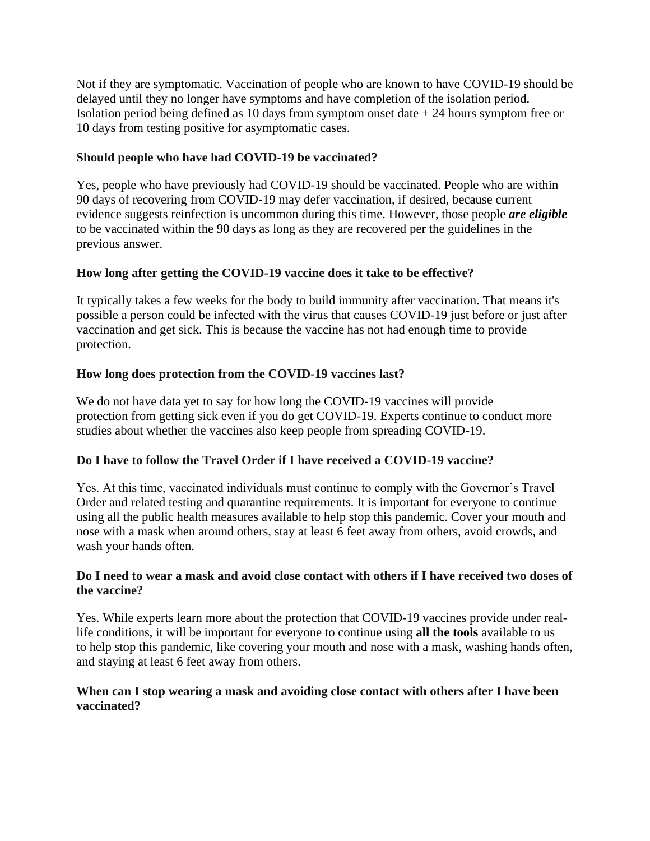Not if they are symptomatic. Vaccination of people who are known to have COVID-19 should be delayed until they no longer have symptoms and have completion of the isolation period. Isolation period being defined as 10 days from symptom onset date  $+ 24$  hours symptom free or 10 days from testing positive for asymptomatic cases.

# **Should people who have had COVID-19 be vaccinated?**

Yes, people who have previously had COVID-19 should be vaccinated. People who are within 90 days of recovering from COVID-19 may defer vaccination, if desired, because current evidence suggests reinfection is uncommon during this time. However, those people *are eligible* to be vaccinated within the 90 days as long as they are recovered per the guidelines in the previous answer.

# **How long after getting the COVID-19 vaccine does it take to be effective?**

It typically takes a few weeks for the body to build immunity after vaccination. That means it's possible a person could be infected with the virus that causes COVID-19 just before or just after vaccination and get sick. This is because the vaccine has not had enough time to provide protection.

# **How long does protection from the COVID-19 vaccines last?**

We do not have data yet to say for how long the COVID-19 vaccines will provide protection from getting sick even if you do get COVID-19. Experts continue to conduct more studies about whether the vaccines also keep people from spreading COVID-19.

## **Do I have to follow the Travel Order if I have received a COVID-19 vaccine?**

Yes. At this time, vaccinated individuals must continue to comply with the Governor's Travel Order and related testing and quarantine requirements. It is important for everyone to continue using all the public health measures available to help stop this pandemic. Cover your mouth and nose with a mask when around others, stay at least 6 feet away from others, avoid crowds, and wash your hands often.

## **Do I need to wear a mask and avoid close contact with others if I have received two doses of the vaccine?**

Yes. While experts learn more about the protection that COVID-19 vaccines provide under reallife conditions, it will be important for everyone to continue using **all the tools** available to us to help stop this pandemic, like covering your mouth and nose with a mask, washing hands often, and staying at least 6 feet away from others.

# **When can I stop wearing a mask and avoiding close contact with others after I have been vaccinated?**